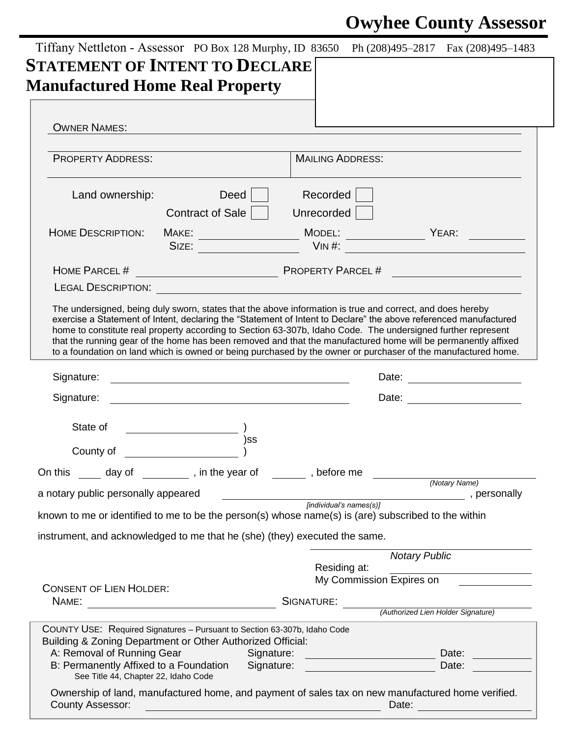## **Owyhee County Assessor**

| <b>STATEMENT OF INTENT TO DECLARE</b><br><b>Manufactured Home Real Property</b>                                                                                                                                                                                        |                                                                                                                                                                                                                                                                                                                                                |
|------------------------------------------------------------------------------------------------------------------------------------------------------------------------------------------------------------------------------------------------------------------------|------------------------------------------------------------------------------------------------------------------------------------------------------------------------------------------------------------------------------------------------------------------------------------------------------------------------------------------------|
|                                                                                                                                                                                                                                                                        |                                                                                                                                                                                                                                                                                                                                                |
|                                                                                                                                                                                                                                                                        |                                                                                                                                                                                                                                                                                                                                                |
| <b>OWNER NAMES:</b>                                                                                                                                                                                                                                                    |                                                                                                                                                                                                                                                                                                                                                |
|                                                                                                                                                                                                                                                                        |                                                                                                                                                                                                                                                                                                                                                |
| <b>PROPERTY ADDRESS:</b>                                                                                                                                                                                                                                               | <b>MAILING ADDRESS:</b>                                                                                                                                                                                                                                                                                                                        |
| Deed<br>Land ownership:                                                                                                                                                                                                                                                | Recorded                                                                                                                                                                                                                                                                                                                                       |
| Contract of Sale                                                                                                                                                                                                                                                       | Unrecorded                                                                                                                                                                                                                                                                                                                                     |
| <b>HOME DESCRIPTION:</b>                                                                                                                                                                                                                                               |                                                                                                                                                                                                                                                                                                                                                |
|                                                                                                                                                                                                                                                                        |                                                                                                                                                                                                                                                                                                                                                |
| HOME PARCEL #                                                                                                                                                                                                                                                          | <b>PROPERTY PARCEL#</b>                                                                                                                                                                                                                                                                                                                        |
|                                                                                                                                                                                                                                                                        |                                                                                                                                                                                                                                                                                                                                                |
|                                                                                                                                                                                                                                                                        | home to constitute real property according to Section 63-307b, Idaho Code. The undersigned further represent<br>that the running gear of the home has been removed and that the manufactured home will be permanently affixed<br>to a foundation on land which is owned or being purchased by the owner or purchaser of the manufactured home. |
| Signature:                                                                                                                                                                                                                                                             |                                                                                                                                                                                                                                                                                                                                                |
| Signature:                                                                                                                                                                                                                                                             | Date: _________________________                                                                                                                                                                                                                                                                                                                |
| State of                                                                                                                                                                                                                                                               |                                                                                                                                                                                                                                                                                                                                                |
| )ss                                                                                                                                                                                                                                                                    |                                                                                                                                                                                                                                                                                                                                                |
| County of                                                                                                                                                                                                                                                              |                                                                                                                                                                                                                                                                                                                                                |
| On this <u>equal</u> day of <u>equal</u> , in the year of electronic sum before me                                                                                                                                                                                     |                                                                                                                                                                                                                                                                                                                                                |
| a notary public personally appeared                                                                                                                                                                                                                                    | (Notary Name)<br>personally<br>served in the served of the served of the served of the served of the served of the served of the served of the                                                                                                                                                                                                 |
|                                                                                                                                                                                                                                                                        | known to me or identified to me to be the person(s) whose name(s) is (are) subscribed to the within                                                                                                                                                                                                                                            |
|                                                                                                                                                                                                                                                                        |                                                                                                                                                                                                                                                                                                                                                |
| instrument, and acknowledged to me that he (she) (they) executed the same.                                                                                                                                                                                             |                                                                                                                                                                                                                                                                                                                                                |
|                                                                                                                                                                                                                                                                        |                                                                                                                                                                                                                                                                                                                                                |
|                                                                                                                                                                                                                                                                        | <b>Notary Public</b>                                                                                                                                                                                                                                                                                                                           |
|                                                                                                                                                                                                                                                                        | Residing at:<br>My Commission Expires on                                                                                                                                                                                                                                                                                                       |
|                                                                                                                                                                                                                                                                        |                                                                                                                                                                                                                                                                                                                                                |
| NAME:                                                                                                                                                                                                                                                                  | SIGNATURE:                                                                                                                                                                                                                                                                                                                                     |
|                                                                                                                                                                                                                                                                        | (Authorized Lien Holder Signature)                                                                                                                                                                                                                                                                                                             |
|                                                                                                                                                                                                                                                                        |                                                                                                                                                                                                                                                                                                                                                |
| A: Removal of Running Gear                                                                                                                                                                                                                                             | Signature:<br>Date:                                                                                                                                                                                                                                                                                                                            |
| <b>CONSENT OF LIEN HOLDER:</b><br>COUNTY USE: Required Signatures - Pursuant to Section 63-307b, Idaho Code<br>Building & Zoning Department or Other Authorized Official:<br>B: Permanently Affixed to a Foundation Signature:<br>See Title 44, Chapter 22, Idaho Code | Date:                                                                                                                                                                                                                                                                                                                                          |